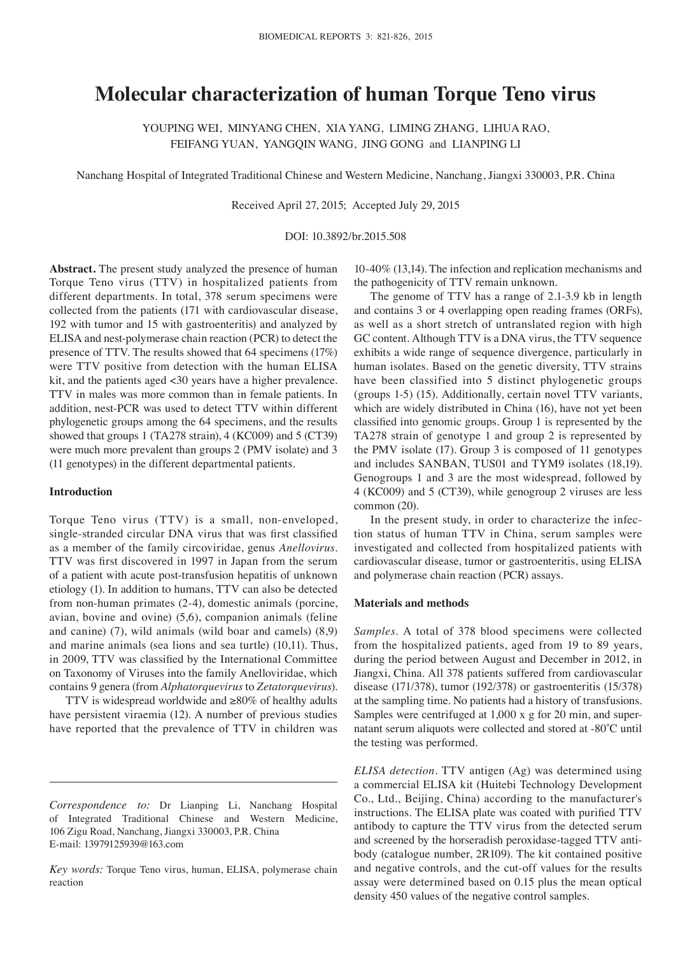# **Molecular characterization of human Torque Teno virus**

YOUPING WEI, MINYANG CHEN, XIA YANG, LIMING ZHANG, LIHUA RAO, FEIFANG YUAN, YANGQIN WANG, JING GONG and LIANPING LI

Nanchang Hospital of Integrated Traditional Chinese and Western Medicine, Nanchang, Jiangxi 330003, P.R. China

Received April 27, 2015; Accepted July 29, 2015

DOI: 10.3892/br.2015.508

**Abstract.** The present study analyzed the presence of human Torque Teno virus (TTV) in hospitalized patients from different departments. In total, 378 serum specimens were collected from the patients (171 with cardiovascular disease, 192 with tumor and 15 with gastroenteritis) and analyzed by ELISA and nest-polymerase chain reaction (PCR) to detect the presence of TTV. The results showed that 64 specimens (17%) were TTV positive from detection with the human ELISA kit, and the patients aged <30 years have a higher prevalence. TTV in males was more common than in female patients. In addition, nest-PCR was used to detect TTV within different phylogenetic groups among the 64 specimens, and the results showed that groups 1 (TA278 strain), 4 (KC009) and 5 (CT39) were much more prevalent than groups 2 (PMV isolate) and 3 (11 genotypes) in the different departmental patients.

## **Introduction**

Torque Teno virus (TTV) is a small, non-enveloped, single-stranded circular DNA virus that was first classified as a member of the family circoviridae, genus *Anellovirus*. TTV was first discovered in 1997 in Japan from the serum of a patient with acute post-transfusion hepatitis of unknown etiology (1). In addition to humans, TTV can also be detected from non-human primates (2-4), domestic animals (porcine, avian, bovine and ovine) (5,6), companion animals (feline and canine) (7), wild animals (wild boar and camels) (8,9) and marine animals (sea lions and sea turtle) (10,11). Thus, in 2009, TTV was classified by the International Committee on Taxonomy of Viruses into the family Anelloviridae, which contains 9 genera (from *Alphatorquevirus* to *Zetatorquevirus*).

TTV is widespread worldwide and ≥80% of healthy adults have persistent viraemia (12). A number of previous studies have reported that the prevalence of TTV in children was

10-40% (13,14). The infection and replication mechanisms and the pathogenicity of TTV remain unknown.

The genome of TTV has a range of 2.1-3.9 kb in length and contains 3 or 4 overlapping open reading frames (ORFs), as well as a short stretch of untranslated region with high GC content. Although TTV is a DNA virus, the TTV sequence exhibits a wide range of sequence divergence, particularly in human isolates. Based on the genetic diversity, TTV strains have been classified into 5 distinct phylogenetic groups (groups 1-5) (15). Additionally, certain novel TTV variants, which are widely distributed in China (16), have not yet been classified into genomic groups. Group 1 is represented by the TA278 strain of genotype 1 and group 2 is represented by the PMV isolate (17). Group 3 is composed of 11 genotypes and includes SANBAN, TUS01 and TYM9 isolates (18,19). Genogroups 1 and 3 are the most widespread, followed by 4 (KC009) and 5 (CT39), while genogroup 2 viruses are less common (20).

In the present study, in order to characterize the infection status of human TTV in China, serum samples were investigated and collected from hospitalized patients with cardiovascular disease, tumor or gastroenteritis, using ELISA and polymerase chain reaction (PCR) assays.

### **Materials and methods**

*Samples.* A total of 378 blood specimens were collected from the hospitalized patients, aged from 19 to 89 years, during the period between August and December in 2012, in Jiangxi, China. All 378 patients suffered from cardiovascular disease (171/378), tumor (192/378) or gastroenteritis (15/378) at the sampling time. No patients had a history of transfusions. Samples were centrifuged at 1,000 x g for 20 min, and supernatant serum aliquots were collected and stored at ‑80˚C until the testing was performed.

*ELISA detection.* TTV antigen (Ag) was determined using a commercial ELISA kit (Huitebi Technology Development Co., Ltd., Beijing, China) according to the manufacturer's instructions. The ELISA plate was coated with purified TTV antibody to capture the TTV virus from the detected serum and screened by the horseradish peroxidase-tagged TTV antibody (catalogue number, 2R109). The kit contained positive and negative controls, and the cut-off values for the results assay were determined based on 0.15 plus the mean optical density 450 values of the negative control samples.

*Correspondence to:* Dr Lianping Li, Nanchang Hospital of Integrated Traditional Chinese and Western Medicine, 106 Zigu Road, Nanchang, Jiangxi 330003, P.R. China E-mail: 13979125939@163.com

*Key words:* Torque Teno virus, human, ELISA, polymerase chain reaction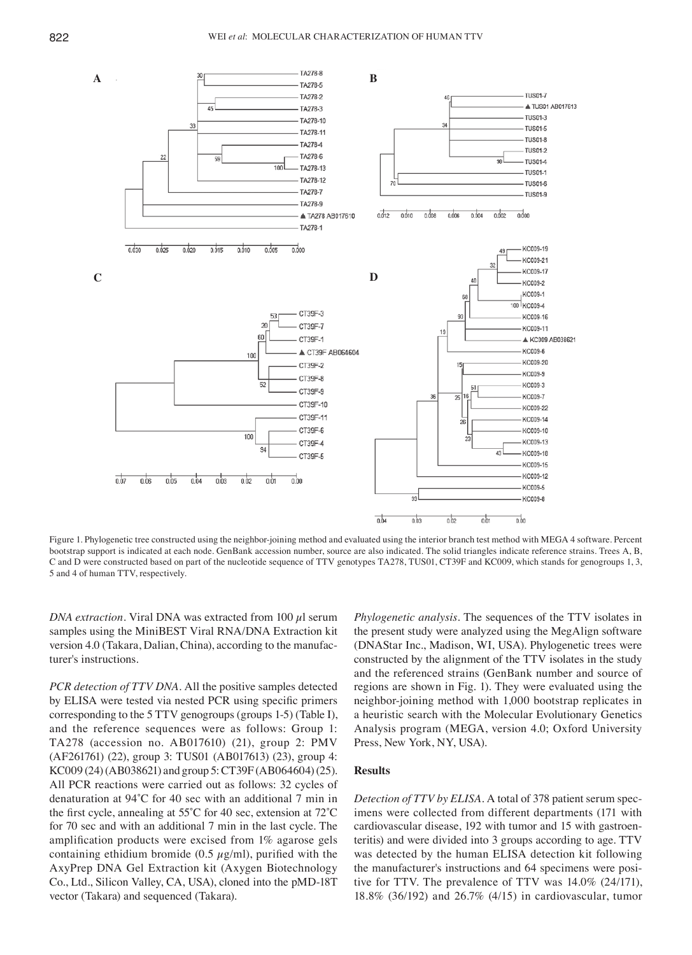

Figure 1. Phylogenetic tree constructed using the neighbor-joining method and evaluated using the interior branch test method with MEGA 4 software. Percent bootstrap support is indicated at each node. GenBank accession number, source are also indicated. The solid triangles indicate reference strains. Trees A, B, C and D were constructed based on part of the nucleotide sequence of TTV genotypes TA278, TUS01, CT39F and KC009, which stands for genogroups 1, 3, 5 and 4 of human TTV, respectively.

*DNA extraction.* Viral DNA was extracted from 100  $\mu$ l serum samples using the MiniBEST Viral RNA/DNA Extraction kit version 4.0 (Takara, Dalian, China), according to the manufacturer's instructions.

*PCR detection of TTV DNA.* All the positive samples detected by ELISA were tested via nested PCR using specific primers corresponding to the 5 TTV genogroups (groups 1-5) (Table I), and the reference sequences were as follows: Group 1: TA278 (accession no. AB017610) (21), group 2: PMV (AF261761) (22), group 3: TUS01 (AB017613) (23), group 4: KC009 (24)(AB038621) and group 5: CT39F (AB064604)(25). All PCR reactions were carried out as follows: 32 cycles of denaturation at 94˚C for 40 sec with an additional 7 min in the first cycle, annealing at 55˚C for 40 sec, extension at 72˚C for 70 sec and with an additional 7 min in the last cycle. The amplification products were excised from 1% agarose gels containing ethidium bromide (0.5  $\mu$ g/ml), purified with the AxyPrep DNA Gel Extraction kit (Axygen Biotechnology Co., Ltd., Silicon Valley, CA, USA), cloned into the pMD-18T vector (Takara) and sequenced (Takara).

*Phylogenetic analysis.* The sequences of the TTV isolates in the present study were analyzed using the MegAlign software (DNAStar Inc., Madison, WI, USA). Phylogenetic trees were constructed by the alignment of the TTV isolates in the study and the referenced strains (GenBank number and source of regions are shown in Fig. 1). They were evaluated using the neighbor-joining method with 1,000 bootstrap replicates in a heuristic search with the Molecular Evolutionary Genetics Analysis program (MEGA, version 4.0; Oxford University Press, New York, NY, USA).

# **Results**

*Detection of TTV by ELISA.* A total of 378 patient serum specimens were collected from different departments (171 with cardiovascular disease, 192 with tumor and 15 with gastroenteritis) and were divided into 3 groups according to age. TTV was detected by the human ELISA detection kit following the manufacturer's instructions and 64 specimens were positive for TTV. The prevalence of TTV was 14.0% (24/171), 18.8% (36/192) and 26.7% (4/15) in cardiovascular, tumor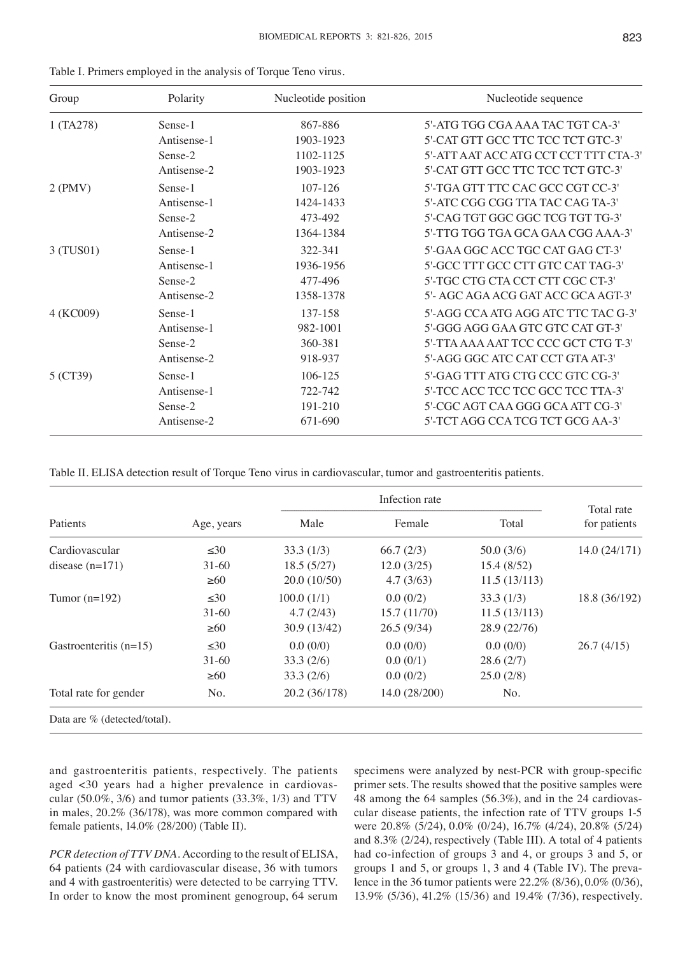| Group     | Polarity    | Nucleotide position | Nucleotide sequence                   |
|-----------|-------------|---------------------|---------------------------------------|
| 1 (TA278) | Sense-1     | 867-886             | 5'-ATG TGG CGA AAA TAC TGT CA-3'      |
|           | Antisense-1 | 1903-1923           | 5'-CAT GTT GCC TTC TCC TCT GTC-3'     |
|           | Sense-2     | 1102-1125           | 5'-ATT AAT ACC ATG CCT CCT TTT CTA-3' |
|           | Antisense-2 | 1903-1923           | 5'-CAT GTT GCC TTC TCC TCT GTC-3'     |
| $2$ (PMV) | Sense-1     | 107-126             | 5'-TGA GTT TTC CAC GCC CGT CC-3'      |
|           | Antisense-1 | 1424-1433           | 5'-ATC CGG CGG TTA TAC CAG TA-3'      |
|           | Sense-2     | 473-492             | 5'-CAG TGT GGC GGC TCG TGT TG-3'      |
|           | Antisense-2 | 1364-1384           | 5'-TTG TGG TGA GCA GAA CGG AAA-3'     |
| 3 (TUS01) | Sense-1     | 322-341             | 5'-GAA GGC ACC TGC CAT GAG CT-3'      |
|           | Antisense-1 | 1936-1956           | 5'-GCC TTT GCC CTT GTC CAT TAG-3'     |
|           | Sense-2     | 477-496             | 5'-TGC CTG CTA CCT CTT CGC CT-3'      |
|           | Antisense-2 | 1358-1378           | 5'- AGC AGA ACG GAT ACC GCA AGT-3'    |
| 4 (KC009) | Sense-1     | 137-158             | 5'-AGG CCA ATG AGG ATC TTC TAC G-3'   |
|           | Antisense-1 | 982-1001            | 5'-GGG AGG GAA GTC GTC CAT GT-3'      |
|           | Sense-2     | 360-381             | 5'-TTA AAA AAT TCC CCC GCT CTG T-3'   |
|           | Antisense-2 | 918-937             | 5'-AGG GGC ATC CAT CCT GTA AT-3'      |
| 5 (CT39)  | Sense-1     | 106-125             | 5'-GAG TTT ATG CTG CCC GTC CG-3'      |
|           | Antisense-1 | 722-742             | 5'-TCC ACC TCC TCC GCC TCC TTA-3'     |
|           | Sense-2     | 191-210             | 5'-CGC AGT CAA GGG GCA ATT CG-3'      |
|           | Antisense-2 | 671-690             | 5'-TCT AGG CCA TCG TCT GCG AA-3'      |

|  |  | Table I. Primers employed in the analysis of Torque Teno virus. |  |  |  |  |  |
|--|--|-----------------------------------------------------------------|--|--|--|--|--|
|--|--|-----------------------------------------------------------------|--|--|--|--|--|

Table II. ELISA detection result of Torque Teno virus in cardiovascular, tumor and gastroenteritis patients.

|                                |            |               | Total rate    |              |               |  |
|--------------------------------|------------|---------------|---------------|--------------|---------------|--|
| Patients                       | Age, years | Male          | Female        | Total        | for patients  |  |
| Cardiovascular                 | $\leq 30$  | 33.3(1/3)     | 66.7(2/3)     | 50.0(3/6)    | 14.0 (24/171) |  |
| disease $(n=171)$              | $31-60$    | 18.5(5/27)    | 12.0(3/25)    | 15.4(8/52)   |               |  |
|                                | $\geq 60$  | 20.0(10/50)   | 4.7(3/63)     | 11.5(13/113) |               |  |
| Tumor $(n=192)$                | $\leq 30$  | 100.0(1/1)    | 0.0(0/2)      | 33.3(1/3)    | 18.8 (36/192) |  |
|                                | $31 - 60$  | 4.7(2/43)     | 15.7(11/70)   | 11.5(13/113) |               |  |
|                                | $\geq 60$  | 30.9(13/42)   | 26.5(9/34)    | 28.9 (22/76) |               |  |
| Gastroenteritis $(n=15)$       | $\leq 30$  | 0.0(0/0)      | 0.0(0/0)      | 0.0(0/0)     | 26.7(4/15)    |  |
|                                | $31-60$    | 33.3(2/6)     | 0.0(0/1)      | 28.6(2/7)    |               |  |
|                                | $\geq 60$  | 33.3(2/6)     | 0.0(0/2)      | 25.0(2/8)    |               |  |
| Total rate for gender          | No.        | 20.2 (36/178) | 14.0 (28/200) | No.          |               |  |
| Data are $%$ (detected/total). |            |               |               |              |               |  |

and gastroenteritis patients, respectively. The patients aged <30 years had a higher prevalence in cardiovascular (50.0%, 3/6) and tumor patients (33.3%, 1/3) and TTV in males, 20.2% (36/178), was more common compared with female patients, 14.0% (28/200) (Table II).

*PCR detection of TTV DNA.* According to the result of ELISA, 64 patients (24 with cardiovascular disease, 36 with tumors and 4 with gastroenteritis) were detected to be carrying TTV. In order to know the most prominent genogroup, 64 serum specimens were analyzed by nest-PCR with group-specific primer sets. The results showed that the positive samples were 48 among the 64 samples (56.3%), and in the 24 cardiovascular disease patients, the infection rate of TTV groups 1-5 were 20.8% (5/24), 0.0% (0/24), 16.7% (4/24), 20.8% (5/24) and 8.3% (2/24), respectively (Table III). A total of 4 patients had co-infection of groups 3 and 4, or groups 3 and 5, or groups 1 and 5, or groups 1, 3 and 4 (Table IV). The prevalence in the 36 tumor patients were 22.2% (8/36), 0.0% (0/36), 13.9% (5/36), 41.2% (15/36) and 19.4% (7/36), respectively.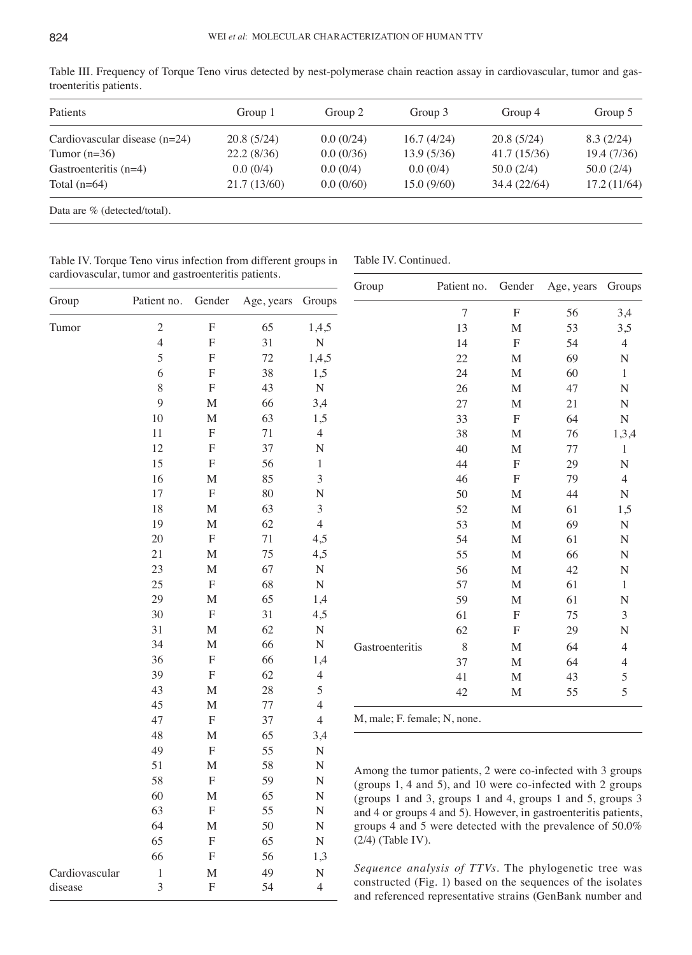| Patients                        | Group 1      | Group 2   | Group 3    | Group 4      | Group 5     |  |
|---------------------------------|--------------|-----------|------------|--------------|-------------|--|
| Cardiovascular disease $(n=24)$ | 20.8(5/24)   | 0.0(0/24) | 16.7(4/24) | 20.8(5/24)   | 8.3(2/24)   |  |
| Tumor $(n=36)$                  | 22.2(8/36)   | 0.0(0/36) | 13.9(5/36) | 41.7 (15/36) | 19.4(7/36)  |  |
| Gastroenteritis $(n=4)$         | 0.0(0/4)     | 0.0(0/4)  | 0.0(0/4)   | 50.0(2/4)    | 50.0(2/4)   |  |
| Total $(n=64)$                  | 21.7 (13/60) | 0.0(0/60) | 15.0(9/60) | 34.4 (22/64) | 17.2(11/64) |  |

Table III. Frequency of Torque Teno virus detected by nest-polymerase chain reaction assay in cardiovascular, tumor and gastroenteritis patients.

Data are % (detected/total).

Table IV. Torque Teno virus infection from different groups in cardiovascular, tumor and gastroenteritis patients.

Table IV. Continued.

|                | $\sim$             | *************             |                   |                          | Group                                                                                                                    | Patient no. | Gender           | Age, years | Groups       |
|----------------|--------------------|---------------------------|-------------------|--------------------------|--------------------------------------------------------------------------------------------------------------------------|-------------|------------------|------------|--------------|
| Group          | Patient no. Gender |                           | Age, years Groups |                          |                                                                                                                          | $\tau$      | $\mathbf F$      | 56         | 3,4          |
| Tumor          | $\overline{c}$     | $\boldsymbol{\mathrm{F}}$ | 65                | 1,4,5                    |                                                                                                                          | 13          | M                | 53         | 3,5          |
|                | $\overline{4}$     | $\mathbf F$               | 31                | ${\bf N}$                |                                                                                                                          | 14          | $\boldsymbol{F}$ | 54         | 4            |
|                | 5                  | ${\bf F}$                 | $72\,$            | 1,4,5                    |                                                                                                                          | 22          | M                | 69         | $\mathbf N$  |
|                | 6                  | $\mathbf F$               | 38                | 1,5                      |                                                                                                                          | 24          | $\mathbf{M}$     | 60         | 1            |
|                | 8                  | ${\bf F}$                 | 43                | ${\bf N}$                |                                                                                                                          | 26          | $\mathbf M$      | 47         | $\mathbf N$  |
|                | 9                  | $\mathbf M$               | 66                | 3,4                      |                                                                                                                          | $27\,$      | M                | 21         | N            |
|                | 10                 | $\mathbf M$               | 63                | 1,5                      |                                                                                                                          | 33          | ${\bf F}$        | 64         | ${\bf N}$    |
|                | 11                 | ${\bf F}$                 | 71                | 4                        |                                                                                                                          | 38          | M                | 76         | 1,3,4        |
|                | 12                 | $\boldsymbol{\mathrm{F}}$ | 37                | N                        |                                                                                                                          | 40          | $\mathbf M$      | $77 \,$    | $\mathbf{1}$ |
|                | 15                 | ${\bf F}$                 | 56                | $\mathbf{1}$             |                                                                                                                          | 44          | ${\bf F}$        | 29         | $\mathbf N$  |
|                | 16                 | M                         | 85                | 3                        |                                                                                                                          | 46          | ${\bf F}$        | 79         | 4            |
|                | 17                 | $\mathbf F$               | $80\,$            | ${\bf N}$                |                                                                                                                          | 50          | $\mathbf M$      | 44         | $\mathbf N$  |
|                | 18                 | M                         | 63                | $\mathfrak{Z}$           |                                                                                                                          | 52          | $\mathbf M$      | 61         | 1,5          |
|                | 19                 | $\mathbf M$               | 62                | $\overline{4}$           |                                                                                                                          | 53          | $\mathbf M$      | 69         | $\mathbf N$  |
|                | 20                 | $\boldsymbol{\mathrm{F}}$ | 71                | 4,5                      |                                                                                                                          | 54          | $\mathbf M$      | 61         | ${\bf N}$    |
|                | 21                 | $\mathbf M$               | 75                | 4,5                      |                                                                                                                          | 55          | $\mathbf{M}$     | 66         | ${\bf N}$    |
|                | 23                 | $\mathbf M$               | 67                | ${\bf N}$                |                                                                                                                          | 56          | $\mathbf M$      | 42         | $\mathbf N$  |
|                | 25                 | $\mathbf F$               | 68                | ${\bf N}$                |                                                                                                                          | 57          | M                | 61         | $\mathbf{1}$ |
|                | 29                 | $\mathbf M$               | 65                | 1,4                      |                                                                                                                          | 59          | $\mathbf M$      | 61         | $\mathbf N$  |
|                | $30\,$             | ${\bf F}$                 | 31                | 4,5                      |                                                                                                                          | 61          | ${\bf F}$        | 75         | 3            |
|                | 31                 | $\mathbf M$               | 62                | ${\bf N}$                |                                                                                                                          | 62          | ${\bf F}$        | 29         | $\mathbf N$  |
|                | 34                 | $\mathbf M$               | 66                | ${\bf N}$                | Gastroenteritis                                                                                                          | $\,$ $\,$   | M                | 64         | 4            |
|                | 36                 | ${\bf F}$                 | 66                | 1,4                      |                                                                                                                          | 37          | M                | 64         | 4            |
|                | 39                 | ${\bf F}$                 | 62                | $\overline{\mathcal{L}}$ |                                                                                                                          | 41          | $\mathbf M$      | 43         | 5            |
|                | 43                 | $\mathbf M$               | 28                | 5                        |                                                                                                                          | 42          | M                | 55         | 5            |
|                | 45                 | $\mathbf M$               | $77\,$            | 4                        |                                                                                                                          |             |                  |            |              |
|                | 47                 | $\boldsymbol{\mathrm{F}}$ | 37                | 4                        | M, male; F. female; N, none.                                                                                             |             |                  |            |              |
|                | 48                 | $\mathbf M$               | 65                | 3,4                      |                                                                                                                          |             |                  |            |              |
|                | 49                 | ${\bf F}$                 | 55                | ${\bf N}$                |                                                                                                                          |             |                  |            |              |
|                | 51                 | $\mathbf M$               | 58                | $\mathbf N$              | Among the tumor patients, 2 were co-infected with 3 groups                                                               |             |                  |            |              |
|                | 58                 | ${\bf F}$                 | 59                | $\mathbf N$              | (groups 1, 4 and 5), and 10 were co-infected with 2 groups                                                               |             |                  |            |              |
|                | 60                 | M                         | 65                | N                        | (groups 1 and 3, groups 1 and 4, groups 1 and 5, groups 3                                                                |             |                  |            |              |
|                | 63                 | $\boldsymbol{\mathrm{F}}$ | 55                | N                        | and 4 or groups 4 and 5). However, in gastroenteritis patients,                                                          |             |                  |            |              |
|                | 64                 | $\mathbf{M}$              | 50                | ${\bf N}$                | groups 4 and 5 were detected with the prevalence of 50.0%                                                                |             |                  |            |              |
|                | 65                 | $\boldsymbol{\mathrm{F}}$ | 65                | $\mathbf N$              | $(2/4)$ (Table IV).                                                                                                      |             |                  |            |              |
|                | 66                 | $\boldsymbol{\mathrm{F}}$ | 56                | 1,3                      |                                                                                                                          |             |                  |            |              |
| Cardiovascular | $\mathbf{1}$       | $\mathbf M$               | 49                | ${\bf N}$                | Sequence analysis of TTVs. The phylogenetic tree was                                                                     |             |                  |            |              |
| disease        | 3                  | $\boldsymbol{\mathrm{F}}$ | 54                | $\overline{4}$           | constructed (Fig. 1) based on the sequences of the isolates<br>and referenced representative strains (GenBank number and |             |                  |            |              |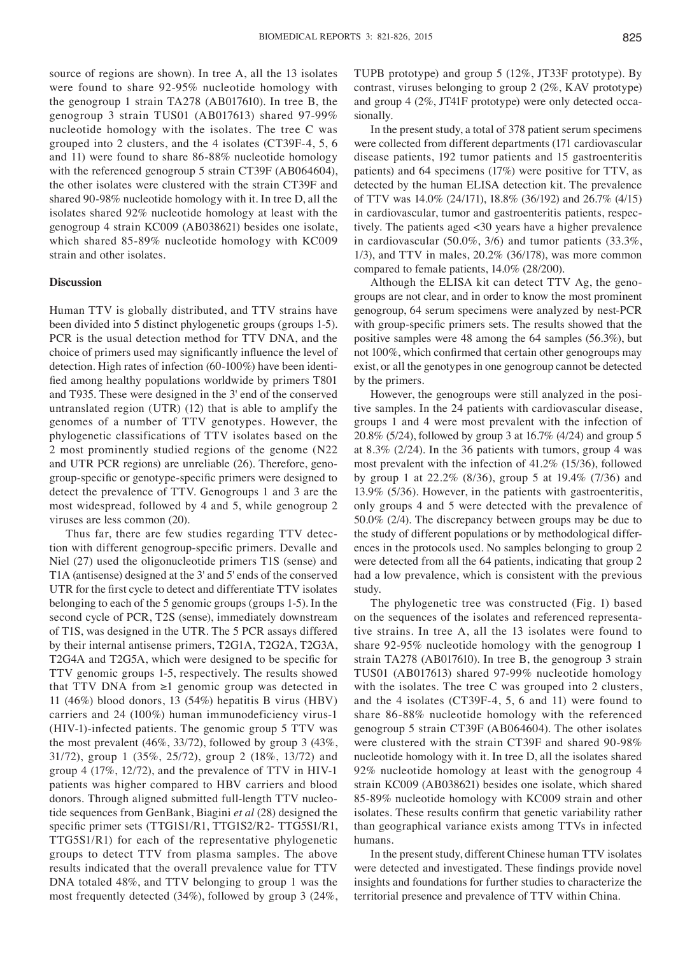source of regions are shown). In tree A, all the 13 isolates were found to share 92-95% nucleotide homology with the genogroup 1 strain TA278 (AB017610). In tree B, the genogroup 3 strain TUS01 (AB017613) shared 97-99% nucleotide homology with the isolates. The tree C was grouped into 2 clusters, and the 4 isolates (CT39F-4, 5, 6 and 11) were found to share 86-88% nucleotide homology with the referenced genogroup 5 strain CT39F (AB064604), the other isolates were clustered with the strain CT39F and shared 90-98% nucleotide homology with it. In tree D, all the isolates shared 92% nucleotide homology at least with the genogroup 4 strain KC009 (AB038621) besides one isolate, which shared 85-89% nucleotide homology with KC009 strain and other isolates.

## **Discussion**

Human TTV is globally distributed, and TTV strains have been divided into 5 distinct phylogenetic groups (groups 1-5). PCR is the usual detection method for TTV DNA, and the choice of primers used may significantly influence the level of detection. High rates of infection (60-100%) have been identified among healthy populations worldwide by primers T801 and T935. These were designed in the 3' end of the conserved untranslated region (UTR) (12) that is able to amplify the genomes of a number of TTV genotypes. However, the phylogenetic classifications of TTV isolates based on the 2 most prominently studied regions of the genome (N22 and UTR PCR regions) are unreliable (26). Therefore, genogroup‑specific or genotype‑specific primers were designed to detect the prevalence of TTV. Genogroups 1 and 3 are the most widespread, followed by 4 and 5, while genogroup 2 viruses are less common (20).

Thus far, there are few studies regarding TTV detection with different genogroup‑specific primers. Devalle and Niel (27) used the oligonucleotide primers T1S (sense) and T1A (antisense) designed at the 3' and 5' ends of the conserved UTR for the first cycle to detect and differentiate TTV isolates belonging to each of the 5 genomic groups (groups 1-5). In the second cycle of PCR, T2S (sense), immediately downstream of T1S, was designed in the UTR. The 5 PCR assays differed by their internal antisense primers, T2G1A, T2G2A, T2G3A, T2G4A and T2G5A, which were designed to be specific for TTV genomic groups 1-5, respectively. The results showed that TTV DNA from  $\geq 1$  genomic group was detected in 11 (46%) blood donors, 13 (54%) hepatitis B virus (HBV) carriers and 24 (100%) human immunodeficiency virus-1 (HIV-1)-infected patients. The genomic group 5 TTV was the most prevalent (46%, 33/72), followed by group 3 (43%, 31/72), group 1 (35%, 25/72), group 2 (18%, 13/72) and group 4 (17%, 12/72), and the prevalence of TTV in HIV-1 patients was higher compared to HBV carriers and blood donors. Through aligned submitted full-length TTV nucleotide sequences from GenBank, Biagini *et al* (28) designed the specific primer sets (TTG1S1/R1, TTG1S2/R2- TTG5S1/R1, TTG5S1/R1) for each of the representative phylogenetic groups to detect TTV from plasma samples. The above results indicated that the overall prevalence value for TTV DNA totaled 48%, and TTV belonging to group 1 was the most frequently detected (34%), followed by group 3 (24%, TUPB prototype) and group 5 (12%, JT33F prototype). By contrast, viruses belonging to group 2 (2%, KAV prototype) and group 4 (2%, JT41F prototype) were only detected occasionally.

In the present study, a total of 378 patient serum specimens were collected from different departments (171 cardiovascular disease patients, 192 tumor patients and 15 gastroenteritis patients) and 64 specimens (17%) were positive for TTV, as detected by the human ELISA detection kit. The prevalence of TTV was 14.0% (24/171), 18.8% (36/192) and 26.7% (4/15) in cardiovascular, tumor and gastroenteritis patients, respectively. The patients aged <30 years have a higher prevalence in cardiovascular (50.0%, 3/6) and tumor patients (33.3%, 1/3), and TTV in males, 20.2% (36/178), was more common compared to female patients, 14.0% (28/200).

Although the ELISA kit can detect TTV Ag, the genogroups are not clear, and in order to know the most prominent genogroup, 64 serum specimens were analyzed by nest-PCR with group‑specific primers sets. The results showed that the positive samples were 48 among the 64 samples (56.3%), but not 100%, which confirmed that certain other genogroups may exist, or all the genotypes in one genogroup cannot be detected by the primers.

However, the genogroups were still analyzed in the positive samples. In the 24 patients with cardiovascular disease, groups 1 and 4 were most prevalent with the infection of 20.8% (5/24), followed by group 3 at 16.7% (4/24) and group 5 at 8.3% (2/24). In the 36 patients with tumors, group 4 was most prevalent with the infection of 41.2% (15/36), followed by group 1 at 22.2% (8/36), group 5 at 19.4% (7/36) and 13.9% (5/36). However, in the patients with gastroenteritis, only groups 4 and 5 were detected with the prevalence of 50.0% (2/4). The discrepancy between groups may be due to the study of different populations or by methodological differences in the protocols used. No samples belonging to group 2 were detected from all the 64 patients, indicating that group 2 had a low prevalence, which is consistent with the previous study.

The phylogenetic tree was constructed (Fig. 1) based on the sequences of the isolates and referenced representative strains. In tree A, all the 13 isolates were found to share 92-95% nucleotide homology with the genogroup 1 strain TA278 (AB017610). In tree B, the genogroup 3 strain TUS01 (AB017613) shared 97-99% nucleotide homology with the isolates. The tree C was grouped into 2 clusters, and the 4 isolates (CT39F-4, 5, 6 and 11) were found to share 86-88% nucleotide homology with the referenced genogroup 5 strain CT39F (AB064604). The other isolates were clustered with the strain CT39F and shared 90-98% nucleotide homology with it. In tree D, all the isolates shared 92% nucleotide homology at least with the genogroup 4 strain KC009 (AB038621) besides one isolate, which shared 85-89% nucleotide homology with KC009 strain and other isolates. These results confirm that genetic variability rather than geographical variance exists among TTVs in infected humans.

In the present study, different Chinese human TTV isolates were detected and investigated. These findings provide novel insights and foundations for further studies to characterize the territorial presence and prevalence of TTV within China.